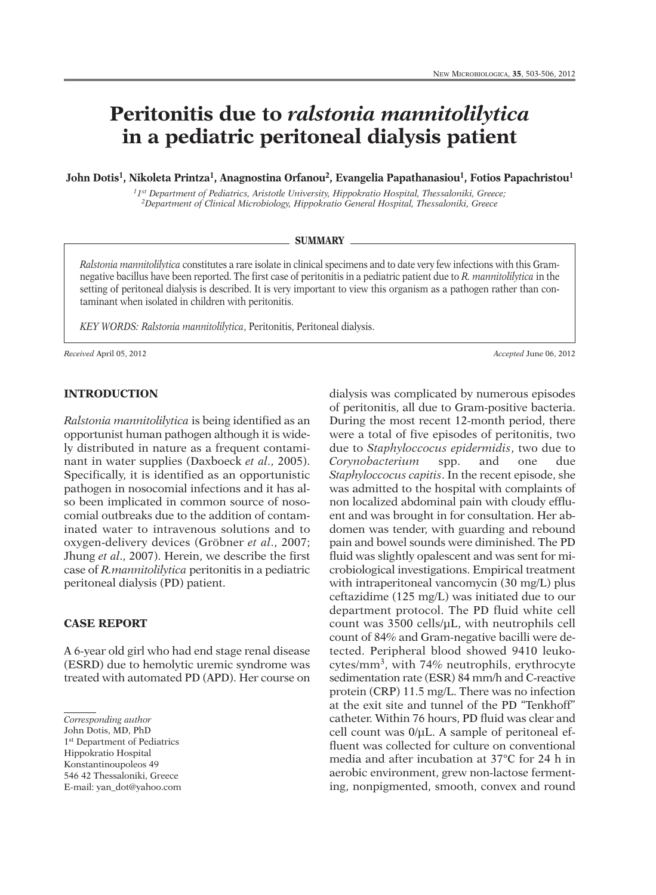# **Peritonitis due to** *ralstonia mannitolilytica* **in a pediatric peritoneal dialysis patient**

**John Dotis1, Nikoleta Printza1, Anagnostina Orfanou2, Evangelia Papathanasiou1, Fotios Papachristou1**

*11st Department of Pediatrics, Aristotle University, Hippokratio Hospital, Thessaloniki, Greece; 2Department of Clinical Microbiology, Hippokratio General Hospital, Thessaloniki, Greece*

#### **SUMMARY**

*Ralstonia mannitolilytica* constitutes a rare isolate in clinical specimens and to date very few infections with this Gramnegative bacillus have been reported. The first case of peritonitis in a pediatric patient due to *R. mannitolilytica* in the setting of peritoneal dialysis is described. It is very important to view this organism as a pathogen rather than contaminant when isolated in children with peritonitis.

*KEY WORDS: Ralstonia mannitolilytica*, Peritonitis, Peritoneal dialysis.

*Received* April 05, 2012 *Accepted* June 06, 2012

# **INTRODUCTION**

*Ralstonia mannitolilytica* is being identified as an opportunist human pathogen although it is widely distributed in nature as a frequent contaminant in water supplies (Daxboeck *et al*., 2005). Specifically, it is identified as an opportunistic pathogen in nosocomial infections and it has also been implicated in common source of nosocomial outbreaks due to the addition of contaminated water to intravenous solutions and to oxygen-delivery devices (Gröbner *et al*., 2007; Jhung *et al*., 2007). Herein, we describe the first case of *R.mannitolilytica* peritonitis in a pediatric peritoneal dialysis (PD) patient.

## **CASE REPORT**

A 6-year old girl who had end stage renal disease (ESRD) due to hemolytic uremic syndrome was treated with automated PD (APD). Her course on

*Corresponding author*

John Dotis, MD, PhD 1st Department of Pediatrics Hippokratio Hospital Konstantinoupoleos 49 546 42 Thessaloniki, Greece E-mail: yan\_dot@yahoo.com dialysis was complicated by numerous episodes of peritonitis, all due to Gram-positive bacteria. During the most recent 12-month period, there were a total of five episodes of peritonitis, two due to *Staphyloccocus epidermidis*, two due to *Corynobacterium* spp. and one due *Staphyloccocus capitis*. In the recent episode, she was admitted to the hospital with complaints of non localized abdominal pain with cloudy effluent and was brought in for consultation. Her abdomen was tender, with guarding and rebound pain and bowel sounds were diminished. The PD fluid was slightly opalescent and was sent for microbiological investigations. Empirical treatment with intraperitoneal vancomycin (30 mg/L) plus ceftazidime (125 mg/L) was initiated due to our department protocol. The PD fluid white cell count was 3500 cells/µL, with neutrophils cell count of 84% and Gram-negative bacilli were detected. Peripheral blood showed 9410 leukocytes/mm3, with 74% neutrophils, erythrocyte sedimentation rate (ESR) 84 mm/h and C-reactive protein (CRP) 11.5 mg/L. There was no infection at the exit site and tunnel of the PD "Tenkhoff" catheter. Within 76 hours, PD fluid was clear and cell count was 0/µL. A sample of peritoneal effluent was collected for culture on conventional media and after incubation at 37°C for 24 h in aerobic environment, grew non-lactose fermenting, nonpigmented, smooth, convex and round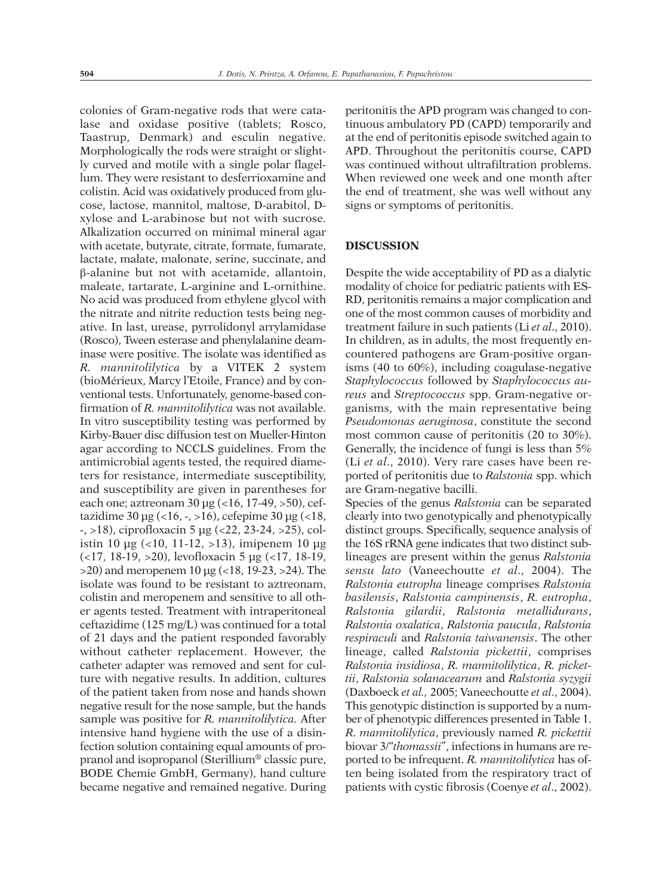colonies of Gram-negative rods that were catalase and oxidase positive (tablets; Rosco, Taastrup, Denmark) and esculin negative. Morphologically the rods were straight or slightly curved and motile with a single polar flagellum. They were resistant to desferrioxamine and colistin. Acid was oxidatively produced from glucose, lactose, mannitol, maltose, D-arabitol, Dxylose and L-arabinose but not with sucrose. Alkalization occurred on minimal mineral agar with acetate, butyrate, citrate, formate, fumarate, lactate, malate, malonate, serine, succinate, and β-alanine but not with acetamide, allantoin, maleate, tartarate, L-arginine and L-ornithine. No acid was produced from ethylene glycol with the nitrate and nitrite reduction tests being negative. In last, urease, pyrrolidonyl arrylamidase (Rosco), Tween esterase and phenylalanine deaminase were positive. The isolate was identified as *R. mannitolilytica* by a VITEK 2 system (bioMérieux, Marcy l'Etoile, France) and by conventional tests. Unfortunately, genome-based confirmation of *R. mannitolilytica* was not available. In vitro susceptibility testing was performed by Kirby-Bauer disc diffusion test on Mueller-Hinton agar according to NCCLS guidelines. From the antimicrobial agents tested, the required diameters for resistance, intermediate susceptibility, and susceptibility are given in parentheses for each one; aztreonam 30 µg (<16, 17-49, >50), ceftazidime 30 µg  $(<16, -16)$ , cefepime 30 µg  $(<18, -16)$ -, >18), ciprofloxacin 5 µg (<22, 23-24, >25), colistin 10  $\mu$ g (<10, 11-12, >13), imipenem 10  $\mu$ g (<17, 18-19, >20), levofloxacin 5 µg (<17, 18-19, >20) and meropenem 10 µg (<18, 19-23, >24). The isolate was found to be resistant to aztreonam, colistin and meropenem and sensitive to all other agents tested. Treatment with intraperitoneal ceftazidime (125 mg/L) was continued for a total of 21 days and the patient responded favorably without catheter replacement. However, the catheter adapter was removed and sent for culture with negative results. In addition, cultures of the patient taken from nose and hands shown negative result for the nose sample, but the hands sample was positive for *R. mannitolilytica.* After intensive hand hygiene with the use of a disinfection solution containing equal amounts of propranol and isopropanol (Sterillium® classic pure, BODE Chemie GmbH, Germany), hand culture became negative and remained negative. During

peritonitis the APD program was changed to continuous ambulatory PD (CAPD) temporarily and at the end of peritonitis episode switched again to APD. Throughout the peritonitis course, CAPD was continued without ultrafiltration problems. When reviewed one week and one month after the end of treatment, she was well without any signs or symptoms of peritonitis.

#### **DISCUSSION**

Despite the wide acceptability of PD as a dialytic modality of choice for pediatric patients with ES-RD, peritonitis remains a major complication and one of the most common causes of morbidity and treatment failure in such patients (Li *et al*., 2010). In children, as in adults, the most frequently encountered pathogens are Gram-positive organisms (40 to 60%), including coagulase-negative *Staphylococcus* followed by *Staphylococcus aureus* and *Streptococcus* spp. Gram-negative organisms, with the main representative being *Pseudomonas aeruginosa*, constitute the second most common cause of peritonitis (20 to 30%). Generally, the incidence of fungi is less than 5% (Li *et al*., 2010). Very rare cases have been reported of peritonitis due to *Ralstonia* spp. which are Gram-negative bacilli.

Species of the genus *Ralstonia* can be separated clearly into two genotypically and phenotypically distinct groups. Specifically, sequence analysis of the 16S rRNA gene indicates that two distinct sublineages are present within the genus *Ralstonia sensu lato* (Vaneechoutte *et al*., 2004). The *Ralstonia eutropha* lineage comprises *Ralstonia basilensis*, *Ralstonia campinensis*, *R. eutropha*, *Ralstonia gilardii*, *Ralstonia metallidurans*, *Ralstonia oxalatica*, *Ralstonia paucula*, *Ralstonia respiraculi* and *Ralstonia taiwanensis*. The other lineage, called *Ralstonia pickettii*, comprises *Ralstonia insidiosa*, *R. mannitolilytica*, *R. pickettii*, *Ralstonia solanacearum* and *Ralstonia syzygii* (Daxboeck *et al.,* 2005; Vaneechoutte *et al*., 2004). This genotypic distinction is supported by a number of phenotypic differences presented in Table 1. *R. mannitolilytica*, previously named *R. pickettii* biovar 3/"*thomassii*", infections in humans are reported to be infrequent. *R. mannitolilytica* has often being isolated from the respiratory tract of patients with cystic fibrosis (Coenye *et al*., 2002).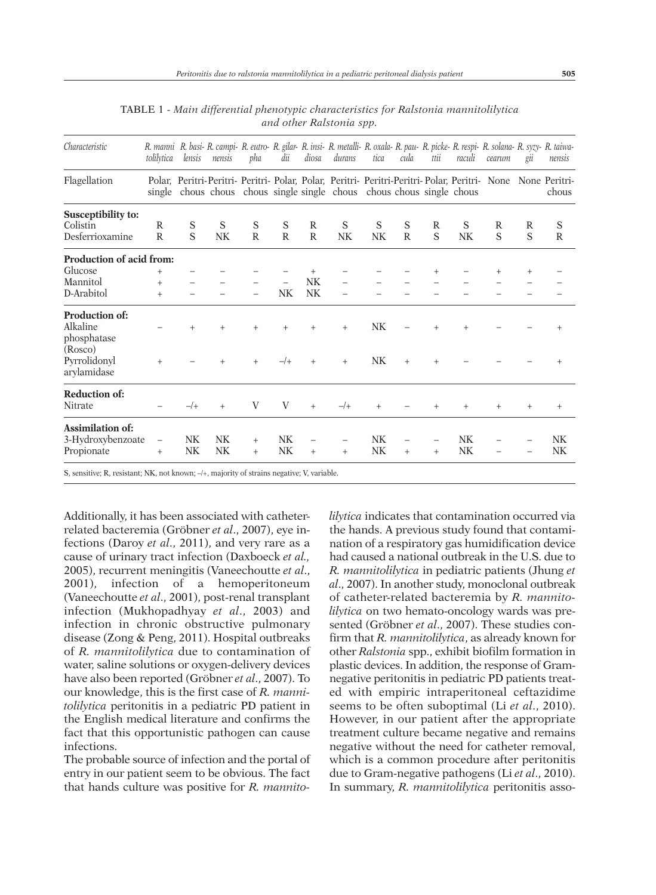| Characteristic                            | tolilytica               | lensis | nensis    | pha          | dii            | diosa        | R. manni R. basi- R. campi- R. eutro- R. gilar- R. insi- R. metalli- R. oxala- R. pau- R. picke- R. respi- R. solana- R. syzy- R. taiwa-<br>durans                               | tica           | cula         | ttii | raculi    | cearum | gii    | nensis       |
|-------------------------------------------|--------------------------|--------|-----------|--------------|----------------|--------------|----------------------------------------------------------------------------------------------------------------------------------------------------------------------------------|----------------|--------------|------|-----------|--------|--------|--------------|
| Flagellation                              |                          |        |           |              |                |              | Polar, Peritri-Peritri-Peritri-Polar, Polar, Peritri-Peritri-Peritri-Polar, Peritri- None None Peritri-<br>single chous chous chous single single chous chous chous single chous |                |              |      |           |        |        | chous        |
| Susceptibility to:                        |                          |        |           |              |                |              |                                                                                                                                                                                  |                |              |      |           |        |        |              |
| Colistin                                  | R                        | S      | S         | S            | S              | R            | S                                                                                                                                                                                | S              | S            | R    | S         | R      | R      | S            |
| Desferrioxamine                           | $\mathbb{R}$             | S      | NK        | $\mathbb{R}$ | $\mathsf{R}$   | $\mathbb{R}$ | N <sub>K</sub>                                                                                                                                                                   | N <sub>K</sub> | $\mathsf{R}$ | S    | NK        | S      | S      | $\mathbb{R}$ |
| Production of acid from:                  |                          |        |           |              |                |              |                                                                                                                                                                                  |                |              |      |           |        |        |              |
| Glucose                                   | $^{+}$                   |        |           |              |                |              |                                                                                                                                                                                  |                |              |      |           |        | $^{+}$ |              |
| Mannitol                                  | $^{+}$                   |        |           |              |                | <b>NK</b>    |                                                                                                                                                                                  |                |              |      |           |        |        |              |
| D-Arabitol                                | $^{+}$                   |        |           |              | NK             | NK           |                                                                                                                                                                                  |                |              |      |           |        |        |              |
| Production of:<br>Alkaline<br>phosphatase |                          | $+$    | $+$       | $+$          | $^{+}$         | $\ddot{+}$   | $+$                                                                                                                                                                              | <b>NK</b>      |              | $+$  | $^{+}$    |        |        | $^{+}$       |
| (Rosco)<br>Pyrrolidonyl<br>arylamidase    | $+$                      |        | $^{+}$    | $+$          | $-$ /+         | $+$          | $+$                                                                                                                                                                              | <b>NK</b>      | $+$          | $+$  |           |        |        | $^{+}$       |
| <b>Reduction of:</b><br>Nitrate           |                          | $-$ /+ | $^{+}$    | V            | V              | $+$          | $-$ /+                                                                                                                                                                           | $+$            |              | $+$  | $^{+}$    | $^{+}$ | $^{+}$ | $^{+}$       |
| Assimilation of:                          |                          |        |           |              |                |              |                                                                                                                                                                                  |                |              |      |           |        |        |              |
| 3-Hydroxybenzoate                         | $\overline{\phantom{m}}$ | NK     | <b>NK</b> | $^{+}$       | N <sub>K</sub> |              |                                                                                                                                                                                  | <b>NK</b>      |              |      | <b>NK</b> |        |        | <b>NK</b>    |
| Propionate                                | $^{+}$                   | NK     | NK        | $+$          | N <sub>K</sub> | $+$          | $+$                                                                                                                                                                              | N <sub>K</sub> | $+$          | $+$  | <b>NK</b> |        |        | NK           |

TABLE 1 - *Main differential phenotypic characteristics for Ralstonia mannitolilytica and other Ralstonia spp.*

S, sensitive; R, resistant; NK, not known; –/+, majority of strains negative; V, variable.

Additionally, it has been associated with catheterrelated bacteremia (Gröbner *et al*., 2007), eye infections (Daroy *et al*., 2011), and very rare as a cause of urinary tract infection (Daxboeck *et al.,* 2005), recurrent meningitis (Vaneechoutte *et al*., 2001), infection of a hemoperitoneum (Vaneechoutte *et al*., 2001), post-renal transplant infection (Mukhopadhyay *et al*., 2003) and infection in chronic obstructive pulmonary disease (Zong & Peng, 2011). Hospital outbreaks of *R. mannitolilytica* due to contamination of water, saline solutions or oxygen-delivery devices have also been reported (Gröbner *et al*., 2007). To our knowledge, this is the first case of *R. mannitolilytica* peritonitis in a pediatric PD patient in the English medical literature and confirms the fact that this opportunistic pathogen can cause infections.

The probable source of infection and the portal of entry in our patient seem to be obvious. The fact that hands culture was positive for *R. mannito-* *lilytica* indicates that contamination occurred via the hands. A previous study found that contamination of a respiratory gas humidification device had caused a national outbreak in the U.S. due to *R. mannitolilytica* in pediatric patients (Jhung *et al*., 2007). In another study, monoclonal outbreak of catheter-related bacteremia by *R. mannitolilytica* on two hemato-oncology wards was presented (Gröbner *et al*., 2007). These studies confirm that *R. mannitolilytica*, as already known for other *Ralstonia* spp., exhibit biofilm formation in plastic devices. In addition, the response of Gramnegative peritonitis in pediatric PD patients treated with empiric intraperitoneal ceftazidime seems to be often suboptimal (Li *et al*., 2010). However, in our patient after the appropriate treatment culture became negative and remains negative without the need for catheter removal, which is a common procedure after peritonitis due to Gram-negative pathogens (Li *et al*., 2010). In summary, *R. mannitolilytica* peritonitis asso